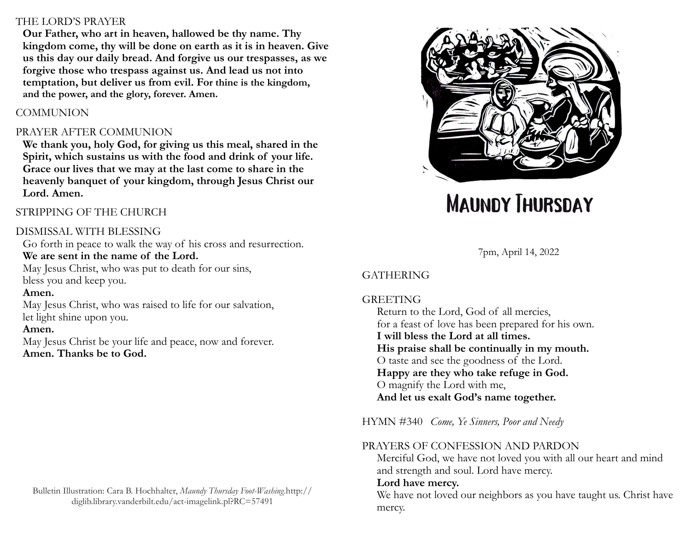#### THE LORD'S PRAYER

**Our Father, who art in heaven, hallowed be thy name. Thy kingdom come, thy will be done on earth as it is in heaven. Give us this day our daily bread. And forgive us our trespasses, as we forgive those who trespass against us. And lead us not into temptation, but deliver us from evil. For thine is the kingdom, and the power, and the glory, forever. Amen.** 

### **COMMUNION**

### PRAYER AFTER COMMUNION

**We thank you, holy God, for giving us this meal, shared in the Spirit, which sustains us with the food and drink of your life. Grace our lives that we may at the last come to share in the heavenly banquet of your kingdom, through Jesus Christ our Lord. Amen.**

# STRIPPING OF THE CHURCH

## DISMISSAL WITH BLESSING

Go forth in peace to walk the way of his cross and resurrection. **We are sent in the name of the Lord.**

May Jesus Christ, who was put to death for our sins, bless you and keep you.

#### **Amen.**

May Jesus Christ, who was raised to life for our salvation, let light shine upon you.

#### **Amen.**

May Jesus Christ be your life and peace, now and forever. **Amen. Thanks be to God.**



# **MAUNDY THURSDAY**

7pm, April 14, 2022

# GATHERING

#### **GREETING**

Return to the Lord, God of all mercies, for a feast of love has been prepared for his own. **I will bless the Lord at all times. His praise shall be continually in my mouth.**  O taste and see the goodness of the Lord. **Happy are they who take refuge in God.**  O magnify the Lord with me, **And let us exalt God's name together.** 

HYMN #340 *Come, Ye Sinners, Poor and Needy*

#### PRAYERS OF CONFESSION AND PARDON

Merciful God, we have not loved you with all our heart and mind and strength and soul. Lord have mercy.

#### **Lord have mercy.**

We have not loved our neighbors as you have taught us. Christ have mercy.